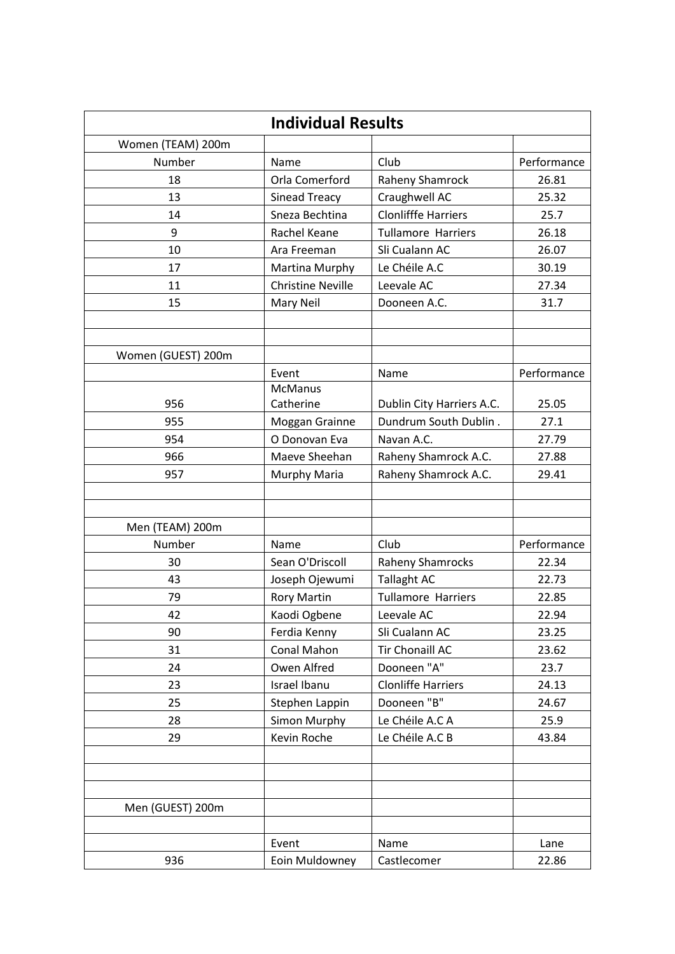| <b>Individual Results</b> |                                 |                                                    |               |  |  |  |  |  |  |
|---------------------------|---------------------------------|----------------------------------------------------|---------------|--|--|--|--|--|--|
| Women (TEAM) 200m         |                                 |                                                    |               |  |  |  |  |  |  |
| Number                    | Name                            | Club                                               | Performance   |  |  |  |  |  |  |
| 18                        | Orla Comerford                  | Raheny Shamrock                                    | 26.81         |  |  |  |  |  |  |
| 13                        | Sinead Treacy                   | Craughwell AC                                      | 25.32         |  |  |  |  |  |  |
| 14                        | Sneza Bechtina                  | <b>Clonlifffe Harriers</b>                         | 25.7          |  |  |  |  |  |  |
| 9                         | Rachel Keane                    | <b>Tullamore Harriers</b>                          | 26.18         |  |  |  |  |  |  |
| 10                        | Ara Freeman                     | Sli Cualann AC                                     | 26.07         |  |  |  |  |  |  |
| 17                        | Martina Murphy                  | Le Chéile A.C                                      | 30.19         |  |  |  |  |  |  |
| 11                        | <b>Christine Neville</b>        | Leevale AC                                         | 27.34         |  |  |  |  |  |  |
| 15                        | Mary Neil                       | Dooneen A.C.                                       | 31.7          |  |  |  |  |  |  |
|                           |                                 |                                                    |               |  |  |  |  |  |  |
|                           |                                 |                                                    |               |  |  |  |  |  |  |
| Women (GUEST) 200m        |                                 |                                                    |               |  |  |  |  |  |  |
|                           | Event                           | Name                                               | Performance   |  |  |  |  |  |  |
| 956                       | <b>McManus</b>                  |                                                    |               |  |  |  |  |  |  |
| 955                       | Catherine                       | Dublin City Harriers A.C.<br>Dundrum South Dublin. | 25.05<br>27.1 |  |  |  |  |  |  |
| 954                       | Moggan Grainne<br>O Donovan Eva | Navan A.C.                                         | 27.79         |  |  |  |  |  |  |
|                           |                                 |                                                    |               |  |  |  |  |  |  |
| 966                       | Maeve Sheehan                   | Raheny Shamrock A.C.                               | 27.88         |  |  |  |  |  |  |
| 957                       | Murphy Maria                    | Raheny Shamrock A.C.                               | 29.41         |  |  |  |  |  |  |
|                           |                                 |                                                    |               |  |  |  |  |  |  |
| Men (TEAM) 200m           |                                 |                                                    |               |  |  |  |  |  |  |
| Number                    | Name                            | Club                                               | Performance   |  |  |  |  |  |  |
| 30                        | Sean O'Driscoll                 | <b>Raheny Shamrocks</b>                            | 22.34         |  |  |  |  |  |  |
| 43                        | Joseph Ojewumi                  | <b>Tallaght AC</b>                                 | 22.73         |  |  |  |  |  |  |
| 79                        | <b>Rory Martin</b>              | <b>Tullamore Harriers</b>                          | 22.85         |  |  |  |  |  |  |
| 42                        | Kaodi Ogbene                    | Leevale AC                                         | 22.94         |  |  |  |  |  |  |
| 90                        | Ferdia Kenny                    | Sli Cualann AC                                     | 23.25         |  |  |  |  |  |  |
| 31                        | Conal Mahon                     | <b>Tir Chonaill AC</b>                             | 23.62         |  |  |  |  |  |  |
| 24                        | Owen Alfred                     | Dooneen "A"                                        | 23.7          |  |  |  |  |  |  |
| 23                        | Israel Ibanu                    | <b>Clonliffe Harriers</b>                          | 24.13         |  |  |  |  |  |  |
| 25                        | Stephen Lappin                  | Dooneen "B"                                        | 24.67         |  |  |  |  |  |  |
| 28                        | <b>Simon Murphy</b>             | Le Chéile A.C A                                    | 25.9          |  |  |  |  |  |  |
| 29                        | Kevin Roche                     | Le Chéile A.C B                                    | 43.84         |  |  |  |  |  |  |
|                           |                                 |                                                    |               |  |  |  |  |  |  |
|                           |                                 |                                                    |               |  |  |  |  |  |  |
|                           |                                 |                                                    |               |  |  |  |  |  |  |
| Men (GUEST) 200m          |                                 |                                                    |               |  |  |  |  |  |  |
|                           |                                 |                                                    |               |  |  |  |  |  |  |
|                           | Event                           | Name                                               | Lane          |  |  |  |  |  |  |
| 936                       | Eoin Muldowney                  | Castlecomer                                        | 22.86         |  |  |  |  |  |  |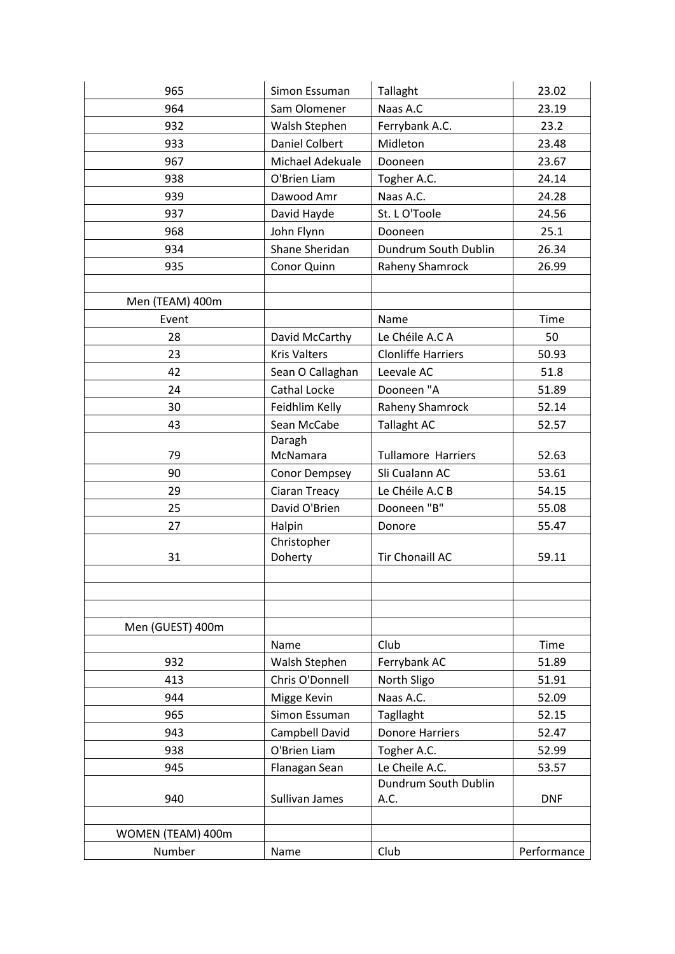| 965               | Simon Essuman         | Tallaght                  | 23.02       |  |  |
|-------------------|-----------------------|---------------------------|-------------|--|--|
| 964               | Sam Olomener          | Naas A.C                  | 23.19       |  |  |
| 932               | Walsh Stephen         | Ferrybank A.C.            | 23.2        |  |  |
| 933               | <b>Daniel Colbert</b> | Midleton                  | 23.48       |  |  |
| 967               | Michael Adekuale      | Dooneen                   | 23.67       |  |  |
| 938               | O'Brien Liam          | Togher A.C.               | 24.14       |  |  |
| 939               | Dawood Amr            | Naas A.C.                 | 24.28       |  |  |
| 937               | David Hayde           | St. L O'Toole             | 24.56       |  |  |
| 968               | John Flynn            | Dooneen                   | 25.1        |  |  |
| 934               | Shane Sheridan        | Dundrum South Dublin      | 26.34       |  |  |
| 935               | Conor Quinn           | Raheny Shamrock           | 26.99       |  |  |
|                   |                       |                           |             |  |  |
| Men (TEAM) 400m   |                       |                           |             |  |  |
| Event             |                       | Name                      | <b>Time</b> |  |  |
| 28                | David McCarthy        | Le Chéile A.C A           | 50          |  |  |
| 23                | <b>Kris Valters</b>   | <b>Clonliffe Harriers</b> | 50.93       |  |  |
| 42                | Sean O Callaghan      | Leevale AC                | 51.8        |  |  |
| 24                | <b>Cathal Locke</b>   | Dooneen "A                | 51.89       |  |  |
| 30                | Feidhlim Kelly        | Raheny Shamrock           | 52.14       |  |  |
| 43                | Sean McCabe           | <b>Tallaght AC</b>        | 52.57       |  |  |
|                   | Daragh                |                           |             |  |  |
| 79                | McNamara              | <b>Tullamore Harriers</b> | 52.63       |  |  |
| 90                | <b>Conor Dempsey</b>  | Sli Cualann AC            | 53.61       |  |  |
| 29                | Ciaran Treacy         | Le Chéile A.C B           | 54.15       |  |  |
| 25                | David O'Brien         | Dooneen "B"               | 55.08       |  |  |
| 27                | Halpin                | Donore                    | 55.47       |  |  |
|                   | Christopher           |                           |             |  |  |
| 31                | Doherty               | <b>Tir Chonaill AC</b>    | 59.11       |  |  |
|                   |                       |                           |             |  |  |
|                   |                       |                           |             |  |  |
|                   |                       |                           |             |  |  |
| Men (GUEST) 400m  |                       |                           |             |  |  |
|                   | Name                  | Club                      | Time        |  |  |
| 932               | Walsh Stephen         | Ferrybank AC              | 51.89       |  |  |
| 413               | Chris O'Donnell       | North Sligo               | 51.91       |  |  |
| 944               | Migge Kevin           | Naas A.C.                 | 52.09       |  |  |
| 965               | Simon Essuman         | <b>Tagllaght</b>          | 52.15       |  |  |
| 943               | Campbell David        | <b>Donore Harriers</b>    | 52.47       |  |  |
| 938               | O'Brien Liam          | Togher A.C.               | 52.99       |  |  |
| 945               | Flanagan Sean         | Le Cheile A.C.            | 53.57       |  |  |
|                   |                       | Dundrum South Dublin      |             |  |  |
| 940               | Sullivan James        | A.C.                      | <b>DNF</b>  |  |  |
|                   |                       |                           |             |  |  |
| WOMEN (TEAM) 400m |                       |                           |             |  |  |
| Number            | Name                  | Club                      | Performance |  |  |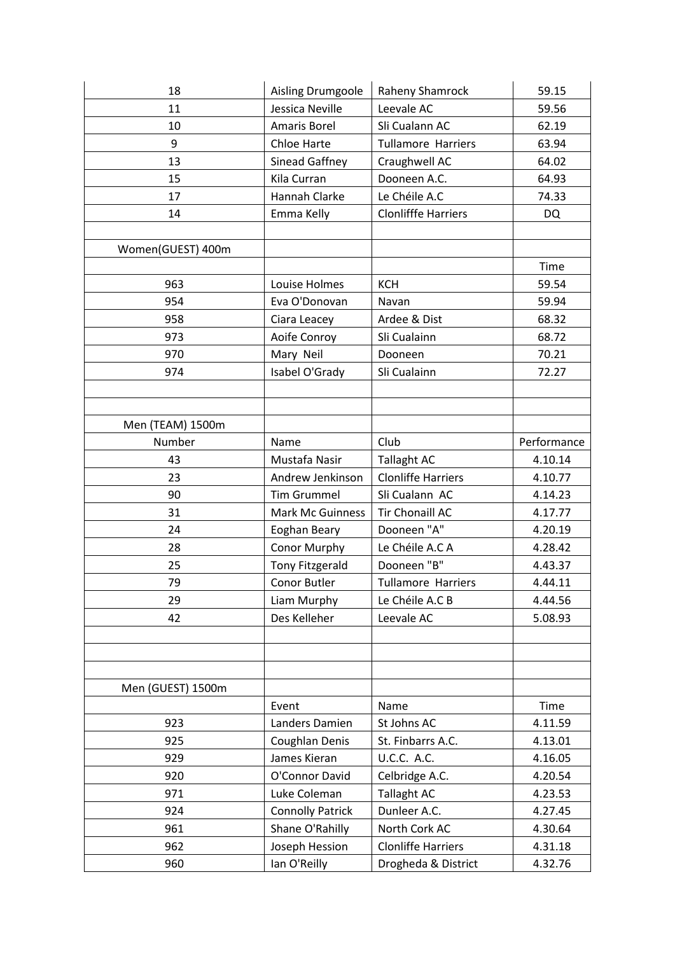| 59.56       |  |  |
|-------------|--|--|
| 62.19       |  |  |
| 63.94       |  |  |
| 64.02       |  |  |
| 64.93       |  |  |
| 74.33       |  |  |
|             |  |  |
|             |  |  |
|             |  |  |
| Time        |  |  |
| 59.54       |  |  |
| 59.94       |  |  |
| 68.32       |  |  |
| 68.72       |  |  |
| 70.21       |  |  |
| 72.27       |  |  |
|             |  |  |
|             |  |  |
|             |  |  |
| Performance |  |  |
| 4.10.14     |  |  |
| 4.10.77     |  |  |
| 4.14.23     |  |  |
| 4.17.77     |  |  |
| 4.20.19     |  |  |
| 4.28.42     |  |  |
| 4.43.37     |  |  |
| 4.44.11     |  |  |
| 4.44.56     |  |  |
| 5.08.93     |  |  |
|             |  |  |
|             |  |  |
|             |  |  |
|             |  |  |
| Time        |  |  |
| 4.11.59     |  |  |
| 4.13.01     |  |  |
| 4.16.05     |  |  |
| 4.20.54     |  |  |
| 4.23.53     |  |  |
| 4.27.45     |  |  |
| 4.30.64     |  |  |
| 4.31.18     |  |  |
| 4.32.76     |  |  |
| <b>DQ</b>   |  |  |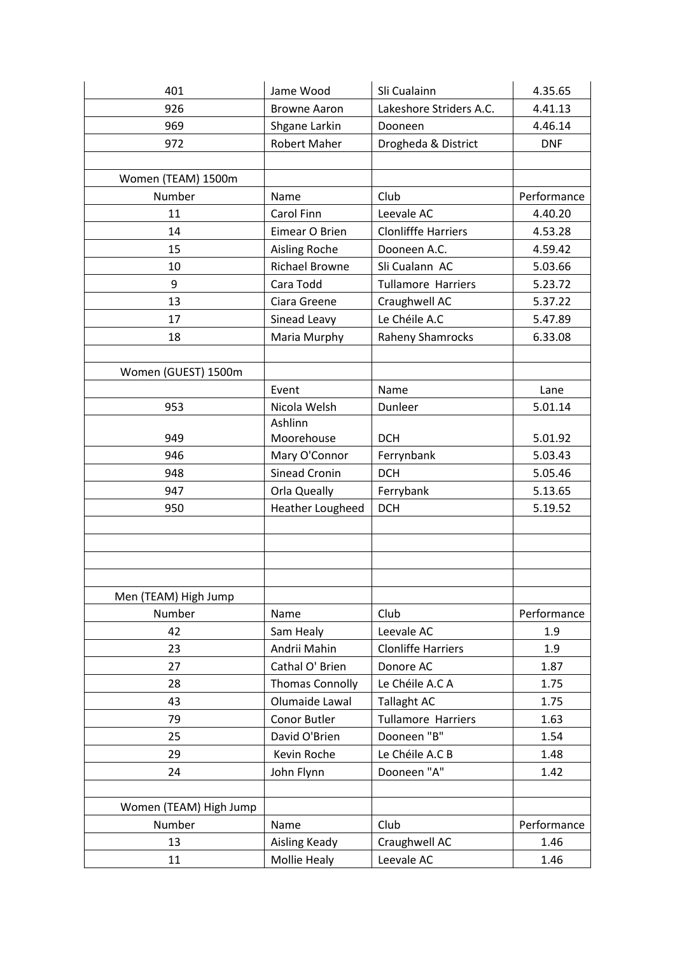| 401                    | Jame Wood               | Sli Cualainn               | 4.35.65     |  |  |
|------------------------|-------------------------|----------------------------|-------------|--|--|
| 926                    | <b>Browne Aaron</b>     | Lakeshore Striders A.C.    | 4.41.13     |  |  |
| 969                    | Shgane Larkin           | Dooneen                    | 4.46.14     |  |  |
| 972                    | <b>Robert Maher</b>     | Drogheda & District        | <b>DNF</b>  |  |  |
|                        |                         |                            |             |  |  |
| Women (TEAM) 1500m     |                         |                            |             |  |  |
| Number                 | Name                    | Club                       | Performance |  |  |
| 11                     | Carol Finn              | Leevale AC                 | 4.40.20     |  |  |
| 14                     | Eimear O Brien          | <b>Clonlifffe Harriers</b> | 4.53.28     |  |  |
| 15                     | <b>Aisling Roche</b>    | Dooneen A.C.               | 4.59.42     |  |  |
| 10                     | <b>Richael Browne</b>   | Sli Cualann AC             | 5.03.66     |  |  |
| 9                      | Cara Todd               | <b>Tullamore Harriers</b>  | 5.23.72     |  |  |
| 13                     | Ciara Greene            | Craughwell AC              | 5.37.22     |  |  |
| 17                     | Sinead Leavy            | Le Chéile A.C              | 5.47.89     |  |  |
| 18                     | Maria Murphy            | <b>Raheny Shamrocks</b>    | 6.33.08     |  |  |
|                        |                         |                            |             |  |  |
| Women (GUEST) 1500m    |                         |                            |             |  |  |
|                        | Event                   | Name                       | Lane        |  |  |
| 953                    | Nicola Welsh            | Dunleer                    | 5.01.14     |  |  |
|                        | Ashlinn                 |                            |             |  |  |
| 949                    | Moorehouse              | <b>DCH</b>                 | 5.01.92     |  |  |
| 946                    | Mary O'Connor           | Ferrynbank                 | 5.03.43     |  |  |
| 948                    | <b>Sinead Cronin</b>    | <b>DCH</b>                 | 5.05.46     |  |  |
| 947                    | Orla Queally            | Ferrybank                  | 5.13.65     |  |  |
| 950                    | <b>Heather Lougheed</b> | <b>DCH</b>                 | 5.19.52     |  |  |
|                        |                         |                            |             |  |  |
|                        |                         |                            |             |  |  |
|                        |                         |                            |             |  |  |
|                        |                         |                            |             |  |  |
| Men (TEAM) High Jump   |                         |                            |             |  |  |
| Number                 | Name                    | Club                       | Performance |  |  |
| 42                     | Sam Healy               | Leevale AC                 | 1.9         |  |  |
| 23                     | Andrii Mahin            | <b>Clonliffe Harriers</b>  | 1.9         |  |  |
| 27                     | Cathal O' Brien         | Donore AC                  | 1.87        |  |  |
| 28                     | <b>Thomas Connolly</b>  | Le Chéile A.C A            | 1.75        |  |  |
| 43                     | Olumaide Lawal          | <b>Tallaght AC</b>         | 1.75        |  |  |
| 79                     | Conor Butler            | <b>Tullamore Harriers</b>  | 1.63        |  |  |
| 25                     | David O'Brien           | Dooneen "B"                | 1.54        |  |  |
| 29                     | Kevin Roche             | Le Chéile A.C B            | 1.48        |  |  |
| 24                     | John Flynn              | Dooneen "A"                | 1.42        |  |  |
|                        |                         |                            |             |  |  |
| Women (TEAM) High Jump |                         |                            |             |  |  |
| Number                 | Name                    | Club                       | Performance |  |  |
| 13                     | Aisling Keady           | Craughwell AC              | 1.46        |  |  |
| 11                     | Mollie Healy            | Leevale AC                 | 1.46        |  |  |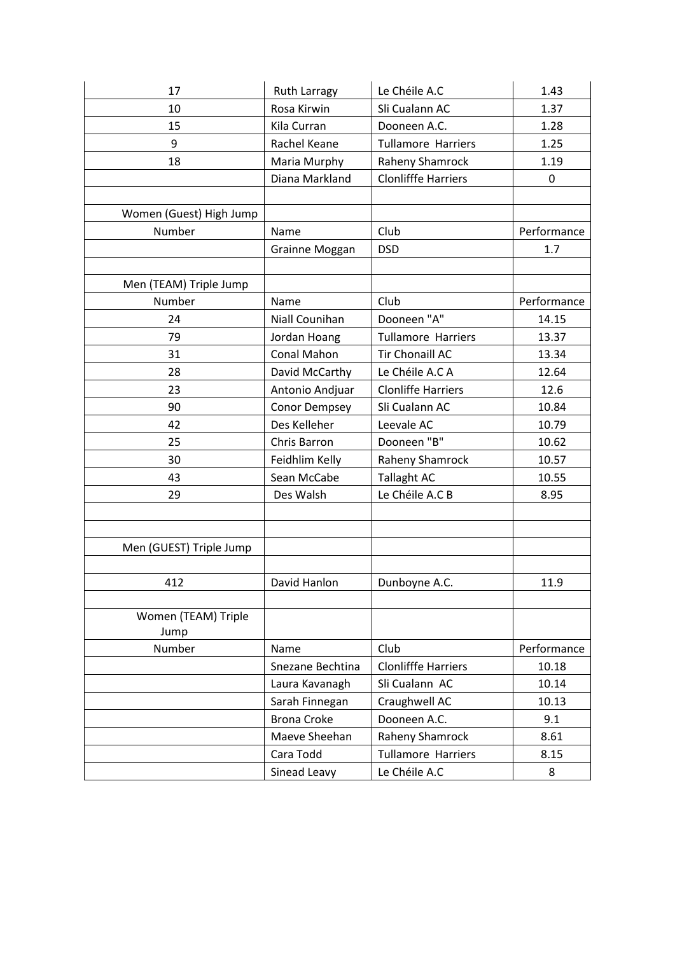| 17                      | <b>Ruth Larragy</b> | Le Chéile A.C              | 1.43        |  |  |
|-------------------------|---------------------|----------------------------|-------------|--|--|
| 10                      | Rosa Kirwin         | Sli Cualann AC             | 1.37        |  |  |
| 15                      | Kila Curran         | Dooneen A.C.               | 1.28        |  |  |
| 9                       | Rachel Keane        | <b>Tullamore Harriers</b>  | 1.25        |  |  |
| 18                      | Maria Murphy        | Raheny Shamrock            | 1.19        |  |  |
|                         | Diana Markland      | <b>Clonlifffe Harriers</b> | 0           |  |  |
|                         |                     |                            |             |  |  |
| Women (Guest) High Jump |                     |                            |             |  |  |
| Number                  | Name                | Club                       | Performance |  |  |
|                         | Grainne Moggan      | <b>DSD</b>                 | 1.7         |  |  |
|                         |                     |                            |             |  |  |
| Men (TEAM) Triple Jump  |                     |                            |             |  |  |
| Number                  | Name                | Club                       | Performance |  |  |
| 24                      | Niall Counihan      | Dooneen "A"                | 14.15       |  |  |
| 79                      | Jordan Hoang        | <b>Tullamore Harriers</b>  | 13.37       |  |  |
| 31                      | <b>Conal Mahon</b>  | Tir Chonaill AC            | 13.34       |  |  |
| 28                      | David McCarthy      | Le Chéile A.C A            | 12.64       |  |  |
| 23                      | Antonio Andjuar     | <b>Clonliffe Harriers</b>  | 12.6        |  |  |
| 90                      | Conor Dempsey       | Sli Cualann AC             | 10.84       |  |  |
| 42                      | Des Kelleher        | Leevale AC                 | 10.79       |  |  |
| 25                      | Chris Barron        | Dooneen "B"                | 10.62       |  |  |
| 30                      | Feidhlim Kelly      | Raheny Shamrock            | 10.57       |  |  |
| 43                      | Sean McCabe         | <b>Tallaght AC</b>         | 10.55       |  |  |
| 29                      | Des Walsh           | Le Chéile A.C B            | 8.95        |  |  |
|                         |                     |                            |             |  |  |
|                         |                     |                            |             |  |  |
| Men (GUEST) Triple Jump |                     |                            |             |  |  |
|                         |                     |                            |             |  |  |
| 412                     | David Hanlon        | Dunboyne A.C.              | 11.9        |  |  |
|                         |                     |                            |             |  |  |
| Women (TEAM) Triple     |                     |                            |             |  |  |
| Jump                    |                     |                            |             |  |  |
| Number                  | Name                | Club                       | Performance |  |  |
|                         | Snezane Bechtina    | <b>Clonlifffe Harriers</b> | 10.18       |  |  |
|                         | Laura Kavanagh      | Sli Cualann AC             | 10.14       |  |  |
|                         | Sarah Finnegan      | Craughwell AC              | 10.13       |  |  |
|                         | <b>Brona Croke</b>  | Dooneen A.C.               | 9.1         |  |  |
|                         | Maeve Sheehan       | Raheny Shamrock            | 8.61        |  |  |
|                         | Cara Todd           | <b>Tullamore Harriers</b>  | 8.15        |  |  |
|                         | Sinead Leavy        | Le Chéile A.C              | 8           |  |  |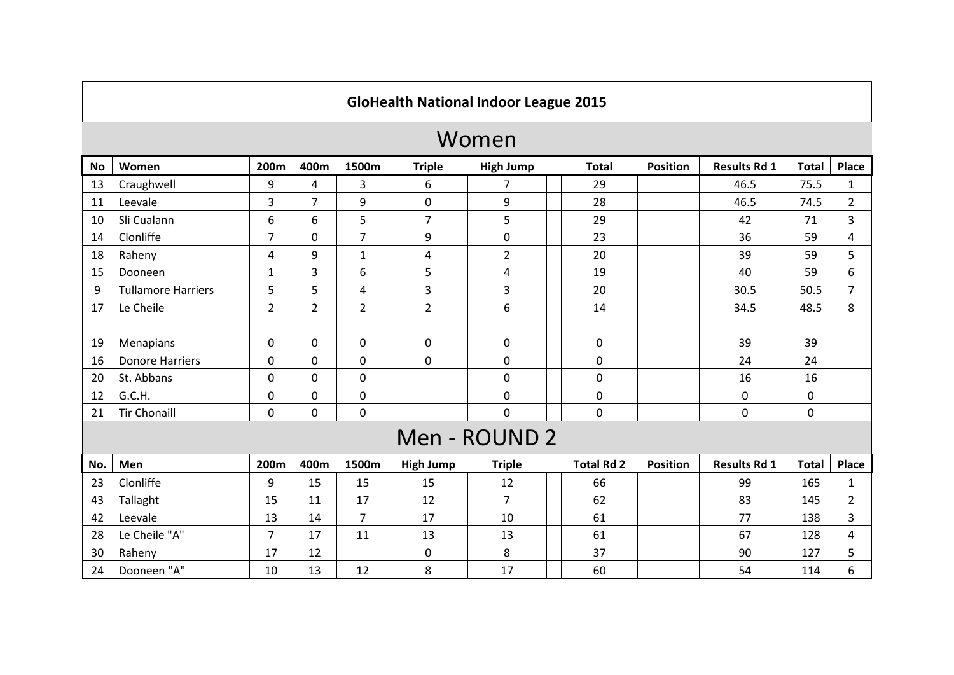## **GloHealth National Indoor League 2015**

## Women

| <b>No</b> | Women                     | 200m           | 400m           | 1500m          | <b>Triple</b>    | <b>High Jump</b> | <b>Total</b>      | <b>Position</b> | <b>Results Rd 1</b> | <b>Total</b> | Place          |
|-----------|---------------------------|----------------|----------------|----------------|------------------|------------------|-------------------|-----------------|---------------------|--------------|----------------|
| 13        | Craughwell                | 9              | 4              | 3              | 6                | 7                | 29                |                 | 46.5                | 75.5         | $\mathbf{1}$   |
| 11        | Leevale                   | 3              | $\overline{7}$ | 9              | $\mathbf 0$      | 9                | 28                |                 | 46.5                | 74.5         | $\overline{2}$ |
| 10        | Sli Cualann               | 6              | 6              | 5              | $\overline{7}$   | 5                | 29                |                 | 42                  | 71           | 3              |
| 14        | Clonliffe                 | $\overline{7}$ | 0              | $\overline{7}$ | 9                | $\boldsymbol{0}$ | 23                |                 | 36                  | 59           | 4              |
| 18        | Raheny                    | 4              | 9              | $\mathbf{1}$   | 4                | $\overline{2}$   | 20                |                 | 39                  | 59           | 5              |
| 15        | Dooneen                   | $\mathbf{1}$   | 3              | 6              | 5                | 4                | 19                |                 | 40                  | 59           | 6              |
| 9         | <b>Tullamore Harriers</b> | 5              | 5              | 4              | 3                | 3                | 20                |                 | 30.5                | 50.5         | $\overline{7}$ |
| 17        | Le Cheile                 | $\overline{2}$ | $\overline{2}$ | $\overline{2}$ | $\overline{2}$   | 6                | 14                |                 | 34.5                | 48.5         | 8              |
|           |                           |                |                |                |                  |                  |                   |                 |                     |              |                |
| 19        | Menapians                 | $\mathbf{0}$   | 0              | 0              | $\mathbf 0$      | $\mathbf 0$      | 0                 |                 | 39                  | 39           |                |
| 16        | <b>Donore Harriers</b>    | $\mathbf{0}$   | 0              | 0              | $\mathbf 0$      | $\pmb{0}$        | 0                 |                 | 24                  | 24           |                |
| 20        | St. Abbans                | 0              | 0              | 0              |                  | $\pmb{0}$        | 0                 |                 | 16                  | 16           |                |
| 12        | G.C.H.                    | 0              | 0              | 0              |                  | $\mathbf 0$      | 0                 |                 | 0                   | 0            |                |
| 21        | <b>Tir Chonaill</b>       | 0              | 0              | 0              |                  | 0                | 0                 |                 | 0                   | 0            |                |
|           |                           |                |                |                |                  | Men - ROUND 2    |                   |                 |                     |              |                |
| No.       | Men                       | 200m           | 400m           | 1500m          | <b>High Jump</b> | <b>Triple</b>    | <b>Total Rd 2</b> | <b>Position</b> | <b>Results Rd 1</b> | <b>Total</b> | <b>Place</b>   |
| 23        | Clonliffe                 | 9              | 15             | 15             | 15               | 12               | 66                |                 | 99                  | 165          | $\mathbf{1}$   |
| 43        | Tallaght                  | 15             | 11             | 17             | 12               | $\overline{7}$   | 62                |                 | 83                  | 145          | $\overline{2}$ |
| 42        | Leevale                   | 13             | 14             | $\overline{7}$ | 17               | 10               | 61                |                 | 77                  | 138          | 3              |
| 28        | Le Cheile "A"             | $\overline{7}$ | 17             | 11             | 13               | 13               | 61                |                 | 67                  | 128          | 4              |
| 30        | Raheny                    | 17             | 12             |                | $\mathbf 0$      | 8                | 37                |                 | 90                  | 127          | 5              |
| 24        | Dooneen "A"               | 10             | 13             | 12             | 8                | 17               | 60                |                 | 54                  | 114          | 6              |